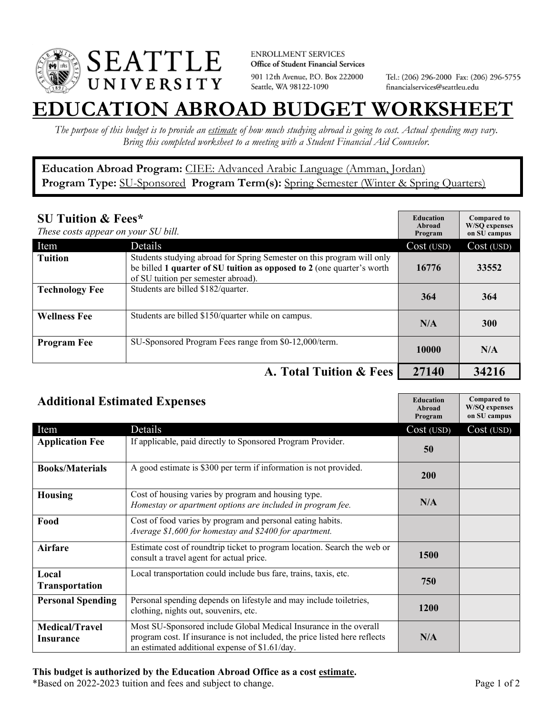

**ENROLLMENT SERVICES** Office of Student Financial Services 901 12th Avenue, P.O. Box 222000 Seattle, WA 98122-1090

Tel.: (206) 296-2000 Fax: (206) 296-5755 financialservices@seattleu.edu

## **EATION ABROAD BUDGET WORKSHEE**

*The purpose of this budget is to provide an estimate of how much studying abroad is going to cost. Actual spending may vary. Bring this completed worksheet to a meeting with a Student Financial Aid Counselor.* 

**Education Abroad Program:** CIEE: Advanced Arabic Language (Amman, Jordan) Program Type: **SU-Sponsored** Program Term(s): **Spring Semester** (Winter & Spring Quarters)

| <b>SU Tuition &amp; Fees*</b><br>These costs appear on your SU bill. |                                                                                                                                                                                         | <b>Education</b><br>Abroad<br>Program | <b>Compared to</b><br><b>W/SO</b> expenses<br>on SU campus |
|----------------------------------------------------------------------|-----------------------------------------------------------------------------------------------------------------------------------------------------------------------------------------|---------------------------------------|------------------------------------------------------------|
| Item                                                                 | Details                                                                                                                                                                                 | Cost (USD)                            | Cost (USD)                                                 |
| <b>Tuition</b>                                                       | Students studying abroad for Spring Semester on this program will only<br>be billed 1 quarter of SU tuition as opposed to 2 (one quarter's worth<br>of SU tuition per semester abroad). | 16776                                 | 33552                                                      |
| <b>Technology Fee</b>                                                | Students are billed \$182/quarter.                                                                                                                                                      | 364                                   | 364                                                        |
| <b>Wellness Fee</b>                                                  | Students are billed \$150/quarter while on campus.                                                                                                                                      | N/A                                   | <b>300</b>                                                 |
| <b>Program Fee</b>                                                   | SU-Sponsored Program Fees range from \$0-12,000/term.                                                                                                                                   | 10000                                 | N/A                                                        |
|                                                                      | A. Total Tuition & Fees                                                                                                                                                                 | 27140                                 | 34216                                                      |

| <b>Additional Estimated Expenses</b> |                                                                                                                                                                                                   | <b>Education</b><br>Abroad<br>Program | <b>Compared to</b><br><b>W/SQ</b> expenses<br>on SU campus |
|--------------------------------------|---------------------------------------------------------------------------------------------------------------------------------------------------------------------------------------------------|---------------------------------------|------------------------------------------------------------|
| Item                                 | Details                                                                                                                                                                                           | Cost (USD)                            | $Cost(\overline{USD})$                                     |
| <b>Application Fee</b>               | If applicable, paid directly to Sponsored Program Provider.                                                                                                                                       | 50                                    |                                                            |
| <b>Books/Materials</b>               | A good estimate is \$300 per term if information is not provided.                                                                                                                                 | 200                                   |                                                            |
| <b>Housing</b>                       | Cost of housing varies by program and housing type.<br>Homestay or apartment options are included in program fee.                                                                                 | N/A                                   |                                                            |
| Food                                 | Cost of food varies by program and personal eating habits.<br>Average \$1,600 for homestay and \$2400 for apartment.                                                                              |                                       |                                                            |
| <b>Airfare</b>                       | Estimate cost of roundtrip ticket to program location. Search the web or<br>consult a travel agent for actual price.                                                                              | 1500                                  |                                                            |
| Local<br><b>Transportation</b>       | Local transportation could include bus fare, trains, taxis, etc.                                                                                                                                  | 750                                   |                                                            |
| <b>Personal Spending</b>             | Personal spending depends on lifestyle and may include toiletries,<br>clothing, nights out, souvenirs, etc.                                                                                       | <b>1200</b>                           |                                                            |
| <b>Medical/Travel</b><br>Insurance   | Most SU-Sponsored include Global Medical Insurance in the overall<br>program cost. If insurance is not included, the price listed here reflects<br>an estimated additional expense of \$1.61/day. | N/A                                   |                                                            |

## **This budget is authorized by the Education Abroad Office as a cost estimate.**

\*Based on 2022-2023 tuition and fees and subject to change. Page 1 of 2